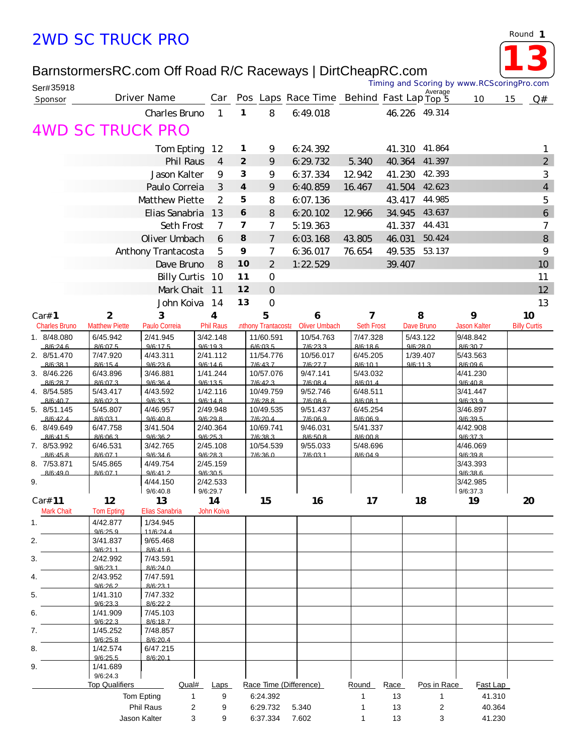## *2WD SC TRUCK PRO*

*Round* **1**

**13**

## BarnstormersRC.com Off Road R/C Raceways | DirtCheapRC.com

| Ser#35918               |                       |                          |                      |                         |                            |                                          |                      |            | Average              | Timing and Scoring by www.RCScoringPro.com |    |                     |
|-------------------------|-----------------------|--------------------------|----------------------|-------------------------|----------------------------|------------------------------------------|----------------------|------------|----------------------|--------------------------------------------|----|---------------------|
| Sponsor                 |                       | Driver Name              | Car                  |                         |                            | Pos Laps Race Time Behind Fast Lap Top 5 |                      |            |                      | 10                                         | 15 | Q#                  |
|                         |                       | Charles Bruno            | $\mathbf{1}$         | 1                       | 8                          | 6:49.018                                 |                      | 46.226     | 49.314               |                                            |    |                     |
|                         |                       | <i>AWD SC TRUCK PRO</i>  |                      |                         |                            |                                          |                      |            |                      |                                            |    |                     |
|                         |                       | Tom Epting               | 12                   | 1                       | 9                          | 6:24.392                                 |                      | 41.310     | 41.864               |                                            |    | 1                   |
|                         |                       | Phil Raus                | 4                    | $\overline{2}$          | 9                          | 6: 29: 732                               | 5.340                | 40.364     | 41.397               |                                            |    | $\overline{2}$      |
|                         |                       | Jason Kalter             | 9                    | 3                       | 9                          | 6:37.334                                 | 12.942               | 41.230     | 42.393               |                                            |    | $\sqrt{3}$          |
|                         |                       | Paulo Correia            | 3                    | $\overline{\mathbf{4}}$ | 9                          | 6:40.859                                 | 16.467               | 41.504     | 42.623               |                                            |    | $\overline{4}$      |
|                         |                       | Matthew Piette           | 2                    | 5                       | 8                          | 6.07.136                                 |                      | 43.417     | 44.985               |                                            |    | 5                   |
|                         |                       | Elias Sanabria           | 13                   | 6                       | 8                          | 6:20.102                                 | 12.966               | 34.945     | 43.637               |                                            |    | $\ddot{\mathbf{6}}$ |
|                         |                       | Seth Frost               | 7                    | 7                       | $\overline{7}$             | 5:19.363                                 |                      | 41.337     | 44.431               |                                            |    | $\overline{7}$      |
|                         |                       | Oliver Umbach            | 6                    | 8                       | $\overline{7}$             | 6:03.168                                 | 43.805               | 46.031     | 50.424               |                                            |    | 8                   |
|                         |                       | Anthony Trantacosta      | 5                    | 9                       | $\overline{7}$             | 6:36.017                                 | 76.654               | 49.535     | 53.137               |                                            |    | 9                   |
|                         |                       | Dave Bruno               | 8                    | 10                      | $\overline{2}$             | 1:22.529                                 |                      | 39.407     |                      |                                            |    | 10                  |
|                         |                       | <b>Billy Curtis</b>      | 10                   | 11                      | $\overline{O}$             |                                          |                      |            |                      |                                            |    | 11                  |
|                         |                       | Mark Chait               | 11                   | 12                      | $\overline{O}$             |                                          |                      |            |                      |                                            |    | 12                  |
|                         |                       | John Koiva               | 14                   | 13                      | $\mathbf 0$                |                                          |                      |            |                      |                                            |    | 13                  |
| Car# 1                  | $\mathbf{2}$          | 3                        | 4                    |                         | 5                          | 6                                        | 7                    |            | 8                    | 9                                          |    | 10                  |
| <b>Charles Bruno</b>    | MatthewPiette         | Paulo Correia            | <b>Phil Raus</b>     |                         | <b>Inthony Trantacosta</b> | <b>Oliver Umbach</b>                     | Seth Frost           |            | Dave Bruno           | Jason Kalter                               |    | <b>Billy Curtis</b> |
| 1. 8/48.080             | 6/45.942              | 2/41.945                 | 3/42.148<br>9/6:19.3 |                         | 11/60.591<br>6/6:03.5      | 10/54.763                                | 7/47.328<br>8/6:18.6 |            | 5/43.122<br>9/6:28.0 | 9/48.842                                   |    |                     |
| 8/6:24.6<br>2. 8/51.470 | 8/6:07.5<br>7/47.920  | 9/6:17.5<br>4/43.311     | 2/41.112             |                         | 11/54.776                  | 7/6:23.3<br>10/56.017                    | 6/45.205             |            | 1/39.407             | 8/6:30.7<br>5/43.563                       |    |                     |
| 8/6:38.1                | 8/6:15.4              | 9/6:23.6                 | 9/6:146              |                         | 7/6:43.7                   | 7/6:27.7                                 | 8/6:10.1             |            | 9/6:11.3             | 8/6.096                                    |    |                     |
| 3. 8/46.226<br>8/6:28.7 | 6/43.896<br>8/6:07.3  | 3/46.881<br>9/6:36.4     | 1/41.244<br>9/6:13.5 |                         | 10/57.076<br>7/6:42.3      | 9/47.141<br>7/6:08.4                     | 5/43.032<br>8/6:01.4 |            |                      | 4/41.230<br>9/6:40.8                       |    |                     |
| 4. 8/54.585             | 5/43.417              | 4/43.592                 | 1/42.116             |                         | 10/49.759                  | 9/52.746                                 | 6/48.511             |            |                      | 3/41.447                                   |    |                     |
| 8/6:40.7<br>5. 8/51.145 | 8/6:02.3<br>5/45.807  | 9/6:35.3<br>4/46.957     | 9/6:14.8<br>2/49.948 |                         | 7/6:28.8<br>10/49.535      | 7/6:08.6<br>9/51.437                     | 8/6:08.1<br>6/45.254 |            |                      | 9/6:33.9<br>3/46.897                       |    |                     |
| 8/6.424                 | 8/6.03.1              | 9/6:40.8                 | 9/6.29.8             |                         | 7/6:20.4                   | 7/6.06.9                                 | 8/6.06.9             |            |                      | 9/6:39.5                                   |    |                     |
| 6. 8/49.649             | 6/47.758              | 3/41.504                 | 2/40.364             |                         | 10/69.741                  | 9/46.031                                 | 5/41.337             |            |                      | 4/42.908<br>9/6:37.3                       |    |                     |
| 8/6:41.5<br>7. 8/53.992 | 8/6:06.3<br>6/46.531  | 9/6:36.2<br>3/42.765     | 9/6:25.3<br>2/45.108 |                         | 7/6:38.3<br>10/54.539      | 8/6:50.8<br>9/55.033                     | 8/6:00.8<br>5/48.696 |            |                      | 4/46.069                                   |    |                     |
| 8/6:45.8                | 8/6:07.1              | 9/6:34.6                 | 9/6:28.3             |                         | 7/6:36.0                   | 7/6:03.1                                 | 8/6:04.9             |            |                      | 9/6:39.8                                   |    |                     |
| 8. 7/53.871<br>8/6:49.0 | 5/45.865<br>8/6:07.1  | 4/49.754<br>9/6:41.2     | 2/45.159<br>9/6:30.5 |                         |                            |                                          |                      |            |                      | 3/43.393<br>9/6:38.6                       |    |                     |
| 9.                      |                       | 4/44.150                 | 2/42.533             |                         |                            |                                          |                      |            |                      | 3/42.985                                   |    |                     |
| Car# 11                 | 12                    | 9/6:40.8<br>13           | 9/6:29.7<br>14       |                         | 15                         | 16                                       | 17                   |            | 18                   | 9/6:37.3<br>19                             |    | 20                  |
| Mark Chait              | <b>Tom Epting</b>     | Elias Sanabria           | John Koiva           |                         |                            |                                          |                      |            |                      |                                            |    |                     |
| 1.                      | 4/42.877              | 1/34.945                 |                      |                         |                            |                                          |                      |            |                      |                                            |    |                     |
|                         | 9/6:25.9<br>3/41.837  | 11/6:24.4<br>9/65.468    |                      |                         |                            |                                          |                      |            |                      |                                            |    |                     |
| 2.                      | 9/6:21.1              | 8/6:41.6                 |                      |                         |                            |                                          |                      |            |                      |                                            |    |                     |
| 3.                      | 2/42.992              | 7/43.591                 |                      |                         |                            |                                          |                      |            |                      |                                            |    |                     |
| 4.                      | 9/6.231<br>2/43.952   | 8/6:240<br>7/47.591      |                      |                         |                            |                                          |                      |            |                      |                                            |    |                     |
|                         | 9/6:26.2              | 8/6:23.1                 |                      |                         |                            |                                          |                      |            |                      |                                            |    |                     |
| 5.                      | 1/41.310<br>9/6:23.3  | 7/47.332<br>8/6:22.2     |                      |                         |                            |                                          |                      |            |                      |                                            |    |                     |
| 6.                      | 1/41.909              | 7/45.103                 |                      |                         |                            |                                          |                      |            |                      |                                            |    |                     |
| 7.                      | 9/6.22.3<br>1/45.252  | 8/6.187<br>7/48.857      |                      |                         |                            |                                          |                      |            |                      |                                            |    |                     |
|                         | 9/6:25.8              | 8/6:20.4                 |                      |                         |                            |                                          |                      |            |                      |                                            |    |                     |
| 8.                      | 1/42.574<br>9/6:25.5  | 6/47.215                 |                      |                         |                            |                                          |                      |            |                      |                                            |    |                     |
| 9.                      | 1/41.689              | 8/6:20.1                 |                      |                         |                            |                                          |                      |            |                      |                                            |    |                     |
|                         | 9/6:24.3              |                          |                      |                         |                            |                                          |                      |            |                      |                                            |    |                     |
|                         | <b>Top Qualifiers</b> | Qual#<br>Tom Epting<br>1 | Laps<br>9            |                         | 6:24.392                   | Race Time (Difference)                   | Round<br>1           | Race<br>13 | Pos in Race<br>1     | Fast Lap<br>41.310                         |    |                     |
|                         |                       | Phil Raus                | $\overline{c}$<br>9  |                         | 6:29.732                   | 5.340                                    | 1                    | 13         | 2                    | 40.364                                     |    |                     |
|                         |                       | Jason Kalter             | 3<br>9               |                         | 6:37.334                   | 7.602                                    | 1                    | 13         | 3                    | 41.230                                     |    |                     |